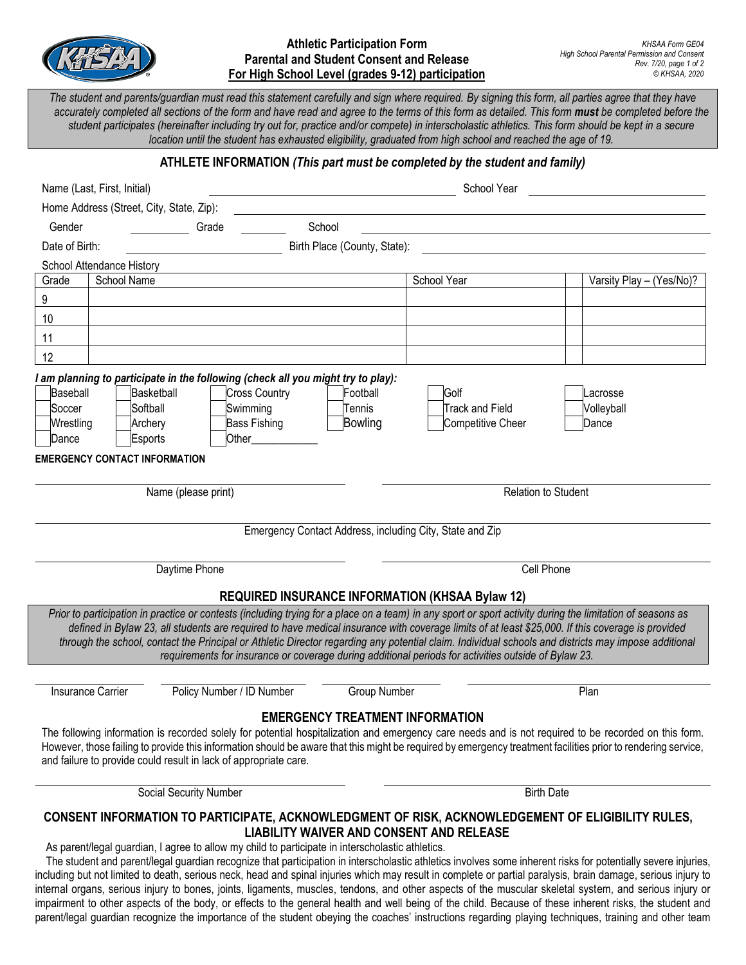

## **Athletic Participation Form Parental and Student Consent and Release For High School Level (grades 9-12) participation**

The student and parents/guardian must read this statement carefully and sign where required. By signing this form, all parties agree that they have *accurately completed all sections of the form and have read and agree to the terms of this form as detailed. This form must be completed before the student participates (hereinafter including try out for, practice and/or compete) in interscholastic athletics. This form should be kept in a secure location until the student has exhausted eligibility, graduated from high school and reached the age of 19.*

## **ATHLETE INFORMATION** *(This part must be completed by the student and family)*

| Name (Last, First, Initial)                                                                                                                                                                                                 |                                                                                         |                                        | School Year                                                                                                                                                                                                                                                                                                                                                                                                                                                                      |                                                                                                                                                                                                                                                                                                                                |
|-----------------------------------------------------------------------------------------------------------------------------------------------------------------------------------------------------------------------------|-----------------------------------------------------------------------------------------|----------------------------------------|----------------------------------------------------------------------------------------------------------------------------------------------------------------------------------------------------------------------------------------------------------------------------------------------------------------------------------------------------------------------------------------------------------------------------------------------------------------------------------|--------------------------------------------------------------------------------------------------------------------------------------------------------------------------------------------------------------------------------------------------------------------------------------------------------------------------------|
| Home Address (Street, City, State, Zip):                                                                                                                                                                                    |                                                                                         |                                        |                                                                                                                                                                                                                                                                                                                                                                                                                                                                                  |                                                                                                                                                                                                                                                                                                                                |
| Gender                                                                                                                                                                                                                      | Grade                                                                                   | School                                 |                                                                                                                                                                                                                                                                                                                                                                                                                                                                                  |                                                                                                                                                                                                                                                                                                                                |
| Date of Birth:                                                                                                                                                                                                              |                                                                                         | Birth Place (County, State):           |                                                                                                                                                                                                                                                                                                                                                                                                                                                                                  |                                                                                                                                                                                                                                                                                                                                |
| School Attendance History                                                                                                                                                                                                   |                                                                                         |                                        |                                                                                                                                                                                                                                                                                                                                                                                                                                                                                  |                                                                                                                                                                                                                                                                                                                                |
| School Name<br>Grade                                                                                                                                                                                                        |                                                                                         |                                        | School Year                                                                                                                                                                                                                                                                                                                                                                                                                                                                      | Varsity Play - (Yes/No)?                                                                                                                                                                                                                                                                                                       |
| 9                                                                                                                                                                                                                           |                                                                                         |                                        |                                                                                                                                                                                                                                                                                                                                                                                                                                                                                  |                                                                                                                                                                                                                                                                                                                                |
| 10                                                                                                                                                                                                                          |                                                                                         |                                        |                                                                                                                                                                                                                                                                                                                                                                                                                                                                                  |                                                                                                                                                                                                                                                                                                                                |
| 11                                                                                                                                                                                                                          |                                                                                         |                                        |                                                                                                                                                                                                                                                                                                                                                                                                                                                                                  |                                                                                                                                                                                                                                                                                                                                |
| 12                                                                                                                                                                                                                          |                                                                                         |                                        |                                                                                                                                                                                                                                                                                                                                                                                                                                                                                  |                                                                                                                                                                                                                                                                                                                                |
| I am planning to participate in the following (check all you might try to play):<br>Baseball<br><b>Basketball</b><br>Softball<br>Soccer<br>Wrestling<br>Archery<br>Dance<br>Esports<br><b>EMERGENCY CONTACT INFORMATION</b> | <b>Cross Country</b><br>Swimming<br><b>Bass Fishing</b><br>Other<br>Name (please print) | Football<br>Tennis<br>Bowling          | Golf<br><b>Track and Field</b><br><b>Competitive Cheer</b><br>Emergency Contact Address, including City, State and Zip                                                                                                                                                                                                                                                                                                                                                           | Lacrosse<br>Volleyball<br>Dance<br><b>Relation to Student</b>                                                                                                                                                                                                                                                                  |
| Daytime Phone                                                                                                                                                                                                               |                                                                                         |                                        | Cell Phone                                                                                                                                                                                                                                                                                                                                                                                                                                                                       |                                                                                                                                                                                                                                                                                                                                |
|                                                                                                                                                                                                                             |                                                                                         |                                        | <b>REQUIRED INSURANCE INFORMATION (KHSAA Bylaw 12)</b><br>Prior to participation in practice or contests (including trying for a place on a team) in any sport or sport activity during the limitation of seasons as<br>defined in Bylaw 23, all students are required to have medical insurance with coverage limits of at least \$25,000. If this coverage is provided<br>requirements for insurance or coverage during additional periods for activities outside of Bylaw 23. | through the school, contact the Principal or Athletic Director regarding any potential claim. Individual schools and districts may impose additional                                                                                                                                                                           |
| <b>Insurance Carrier</b>                                                                                                                                                                                                    | Policy Number / ID Number                                                               | Group Number                           |                                                                                                                                                                                                                                                                                                                                                                                                                                                                                  | Plan                                                                                                                                                                                                                                                                                                                           |
| and failure to provide could result in lack of appropriate care.                                                                                                                                                            |                                                                                         | <b>EMERGENCY TREATMENT INFORMATION</b> |                                                                                                                                                                                                                                                                                                                                                                                                                                                                                  | The following information is recorded solely for potential hospitalization and emergency care needs and is not required to be recorded on this form.<br>However, those failing to provide this information should be aware that this might be required by emergency treatment facilities prior to rendering service,           |
| Social Security Number                                                                                                                                                                                                      |                                                                                         |                                        | <b>Birth Date</b>                                                                                                                                                                                                                                                                                                                                                                                                                                                                |                                                                                                                                                                                                                                                                                                                                |
| As parent/legal guardian, I agree to allow my child to participate in interscholastic athletics.                                                                                                                            |                                                                                         |                                        | CONSENT INFORMATION TO PARTICIPATE, ACKNOWLEDGMENT OF RISK, ACKNOWLEDGEMENT OF ELIGIBILITY RULES,<br><b>LIABILITY WAIVER AND CONSENT AND RELEASE</b>                                                                                                                                                                                                                                                                                                                             | The student and parent/legal guardian recognize that participation in interscholastic athletics involves some inherent risks for potentially severe injuries,<br>including but not limited to death, serious neck, head and spinal injuries which may result in complete or partial paralysis, brain damage, serious injury to |